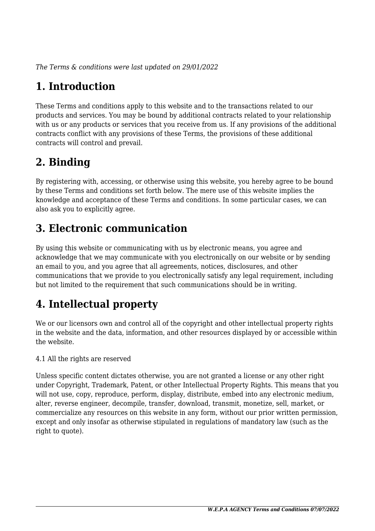*The Terms & conditions were last updated on 29/01/2022*

# **1. Introduction**

These Terms and conditions apply to this website and to the transactions related to our products and services. You may be bound by additional contracts related to your relationship with us or any products or services that you receive from us. If any provisions of the additional contracts conflict with any provisions of these Terms, the provisions of these additional contracts will control and prevail.

# **2. Binding**

By registering with, accessing, or otherwise using this website, you hereby agree to be bound by these Terms and conditions set forth below. The mere use of this website implies the knowledge and acceptance of these Terms and conditions. In some particular cases, we can also ask you to explicitly agree.

# **3. Electronic communication**

By using this website or communicating with us by electronic means, you agree and acknowledge that we may communicate with you electronically on our website or by sending an email to you, and you agree that all agreements, notices, disclosures, and other communications that we provide to you electronically satisfy any legal requirement, including but not limited to the requirement that such communications should be in writing.

# **4. Intellectual property**

We or our licensors own and control all of the copyright and other intellectual property rights in the website and the data, information, and other resources displayed by or accessible within the website.

4.1 All the rights are reserved

Unless specific content dictates otherwise, you are not granted a license or any other right under Copyright, Trademark, Patent, or other Intellectual Property Rights. This means that you will not use, copy, reproduce, perform, display, distribute, embed into any electronic medium, alter, reverse engineer, decompile, transfer, download, transmit, monetize, sell, market, or commercialize any resources on this website in any form, without our prior written permission, except and only insofar as otherwise stipulated in regulations of mandatory law (such as the right to quote).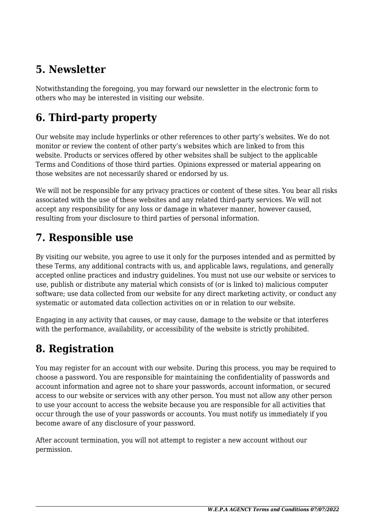# **5. Newsletter**

Notwithstanding the foregoing, you may forward our newsletter in the electronic form to others who may be interested in visiting our website.

# **6. Third-party property**

Our website may include hyperlinks or other references to other party's websites. We do not monitor or review the content of other party's websites which are linked to from this website. Products or services offered by other websites shall be subject to the applicable Terms and Conditions of those third parties. Opinions expressed or material appearing on those websites are not necessarily shared or endorsed by us.

We will not be responsible for any privacy practices or content of these sites. You bear all risks associated with the use of these websites and any related third-party services. We will not accept any responsibility for any loss or damage in whatever manner, however caused, resulting from your disclosure to third parties of personal information.

## **7. Responsible use**

By visiting our website, you agree to use it only for the purposes intended and as permitted by these Terms, any additional contracts with us, and applicable laws, regulations, and generally accepted online practices and industry guidelines. You must not use our website or services to use, publish or distribute any material which consists of (or is linked to) malicious computer software; use data collected from our website for any direct marketing activity, or conduct any systematic or automated data collection activities on or in relation to our website.

Engaging in any activity that causes, or may cause, damage to the website or that interferes with the performance, availability, or accessibility of the website is strictly prohibited.

# **8. Registration**

You may register for an account with our website. During this process, you may be required to choose a password. You are responsible for maintaining the confidentiality of passwords and account information and agree not to share your passwords, account information, or secured access to our website or services with any other person. You must not allow any other person to use your account to access the website because you are responsible for all activities that occur through the use of your passwords or accounts. You must notify us immediately if you become aware of any disclosure of your password.

After account termination, you will not attempt to register a new account without our permission.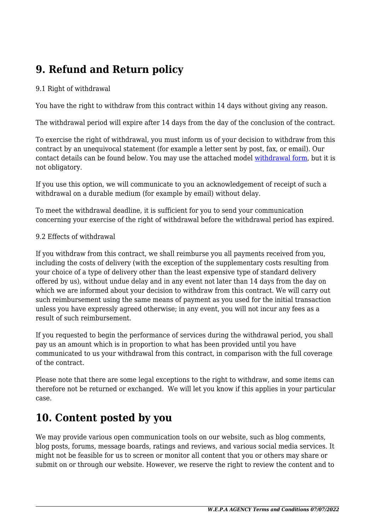# **9. Refund and Return policy**

#### 9.1 Right of withdrawal

You have the right to withdraw from this contract within 14 days without giving any reason.

The withdrawal period will expire after 14 days from the day of the conclusion of the contract.

To exercise the right of withdrawal, you must inform us of your decision to withdraw from this contract by an unequivocal statement (for example a letter sent by post, fax, or email). Our contact details can be found below. You may use the attached model [withdrawal form](https://www.wepa.agency/wp-content/uploads/complianz/withdrawal-forms/withdrawal-form-en.pdf), but it is not obligatory.

If you use this option, we will communicate to you an acknowledgement of receipt of such a withdrawal on a durable medium (for example by email) without delay.

To meet the withdrawal deadline, it is sufficient for you to send your communication concerning your exercise of the right of withdrawal before the withdrawal period has expired.

#### 9.2 Effects of withdrawal

If you withdraw from this contract, we shall reimburse you all payments received from you, including the costs of delivery (with the exception of the supplementary costs resulting from your choice of a type of delivery other than the least expensive type of standard delivery offered by us), without undue delay and in any event not later than 14 days from the day on which we are informed about your decision to withdraw from this contract. We will carry out such reimbursement using the same means of payment as you used for the initial transaction unless you have expressly agreed otherwise; in any event, you will not incur any fees as a result of such reimbursement.

If you requested to begin the performance of services during the withdrawal period, you shall pay us an amount which is in proportion to what has been provided until you have communicated to us your withdrawal from this contract, in comparison with the full coverage of the contract.

Please note that there are some legal exceptions to the right to withdraw, and some items can therefore not be returned or exchanged. We will let you know if this applies in your particular case.

## **10. Content posted by you**

We may provide various open communication tools on our website, such as blog comments, blog posts, forums, message boards, ratings and reviews, and various social media services. It might not be feasible for us to screen or monitor all content that you or others may share or submit on or through our website. However, we reserve the right to review the content and to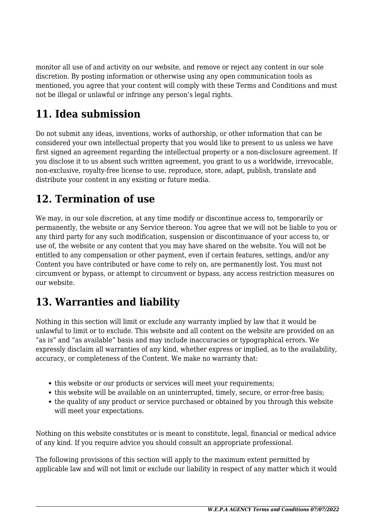monitor all use of and activity on our website, and remove or reject any content in our sole discretion. By posting information or otherwise using any open communication tools as mentioned, you agree that your content will comply with these Terms and Conditions and must not be illegal or unlawful or infringe any person's legal rights.

# **11. Idea submission**

Do not submit any ideas, inventions, works of authorship, or other information that can be considered your own intellectual property that you would like to present to us unless we have first signed an agreement regarding the intellectual property or a non-disclosure agreement. If you disclose it to us absent such written agreement, you grant to us a worldwide, irrevocable, non-exclusive, royalty-free license to use, reproduce, store, adapt, publish, translate and distribute your content in any existing or future media.

## **12. Termination of use**

We may, in our sole discretion, at any time modify or discontinue access to, temporarily or permanently, the website or any Service thereon. You agree that we will not be liable to you or any third party for any such modification, suspension or discontinuance of your access to, or use of, the website or any content that you may have shared on the website. You will not be entitled to any compensation or other payment, even if certain features, settings, and/or any Content you have contributed or have come to rely on, are permanently lost. You must not circumvent or bypass, or attempt to circumvent or bypass, any access restriction measures on our website.

# **13. Warranties and liability**

Nothing in this section will limit or exclude any warranty implied by law that it would be unlawful to limit or to exclude. This website and all content on the website are provided on an "as is" and "as available" basis and may include inaccuracies or typographical errors. We expressly disclaim all warranties of any kind, whether express or implied, as to the availability, accuracy, or completeness of the Content. We make no warranty that:

- this website or our products or services will meet your requirements:
- this website will be available on an uninterrupted, timely, secure, or error-free basis;
- the quality of any product or service purchased or obtained by you through this website will meet your expectations.

Nothing on this website constitutes or is meant to constitute, legal, financial or medical advice of any kind. If you require advice you should consult an appropriate professional.

The following provisions of this section will apply to the maximum extent permitted by applicable law and will not limit or exclude our liability in respect of any matter which it would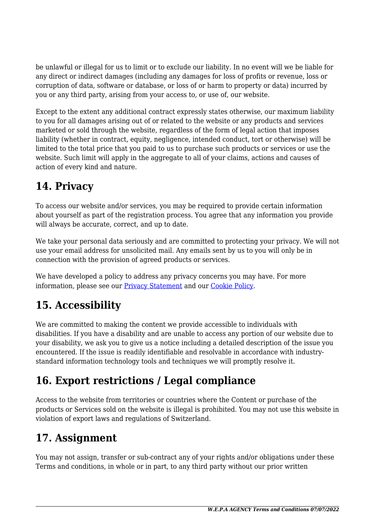be unlawful or illegal for us to limit or to exclude our liability. In no event will we be liable for any direct or indirect damages (including any damages for loss of profits or revenue, loss or corruption of data, software or database, or loss of or harm to property or data) incurred by you or any third party, arising from your access to, or use of, our website.

Except to the extent any additional contract expressly states otherwise, our maximum liability to you for all damages arising out of or related to the website or any products and services marketed or sold through the website, regardless of the form of legal action that imposes liability (whether in contract, equity, negligence, intended conduct, tort or otherwise) will be limited to the total price that you paid to us to purchase such products or services or use the website. Such limit will apply in the aggregate to all of your claims, actions and causes of action of every kind and nature.

# **14. Privacy**

To access our website and/or services, you may be required to provide certain information about yourself as part of the registration process. You agree that any information you provide will always be accurate, correct, and up to date.

We take your personal data seriously and are committed to protecting your privacy. We will not use your email address for unsolicited mail. Any emails sent by us to you will only be in connection with the provision of agreed products or services.

We have developed a policy to address any privacy concerns you may have. For more information, please see our [Privacy Statement](#page--1-0) and our [Cookie Policy](#page--1-0).

# **15. Accessibility**

We are committed to making the content we provide accessible to individuals with disabilities. If you have a disability and are unable to access any portion of our website due to your disability, we ask you to give us a notice including a detailed description of the issue you encountered. If the issue is readily identifiable and resolvable in accordance with industrystandard information technology tools and techniques we will promptly resolve it.

# **16. Export restrictions / Legal compliance**

Access to the website from territories or countries where the Content or purchase of the products or Services sold on the website is illegal is prohibited. You may not use this website in violation of export laws and regulations of Switzerland.

## **17. Assignment**

You may not assign, transfer or sub-contract any of your rights and/or obligations under these Terms and conditions, in whole or in part, to any third party without our prior written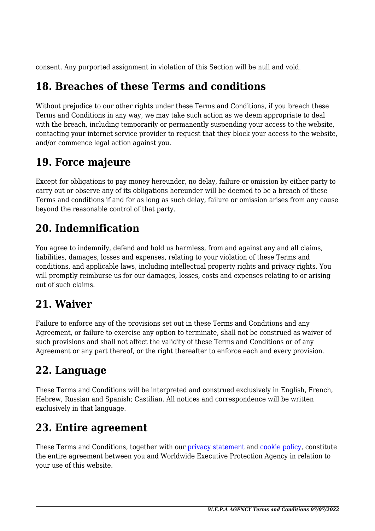consent. Any purported assignment in violation of this Section will be null and void.

## **18. Breaches of these Terms and conditions**

Without prejudice to our other rights under these Terms and Conditions, if you breach these Terms and Conditions in any way, we may take such action as we deem appropriate to deal with the breach, including temporarily or permanently suspending your access to the website, contacting your internet service provider to request that they block your access to the website, and/or commence legal action against you.

## **19. Force majeure**

Except for obligations to pay money hereunder, no delay, failure or omission by either party to carry out or observe any of its obligations hereunder will be deemed to be a breach of these Terms and conditions if and for as long as such delay, failure or omission arises from any cause beyond the reasonable control of that party.

## **20. Indemnification**

You agree to indemnify, defend and hold us harmless, from and against any and all claims, liabilities, damages, losses and expenses, relating to your violation of these Terms and conditions, and applicable laws, including intellectual property rights and privacy rights. You will promptly reimburse us for our damages, losses, costs and expenses relating to or arising out of such claims.

## **21. Waiver**

Failure to enforce any of the provisions set out in these Terms and Conditions and any Agreement, or failure to exercise any option to terminate, shall not be construed as waiver of such provisions and shall not affect the validity of these Terms and Conditions or of any Agreement or any part thereof, or the right thereafter to enforce each and every provision.

## **22. Language**

These Terms and Conditions will be interpreted and construed exclusively in English, French, Hebrew, Russian and Spanish; Castilian. All notices and correspondence will be written exclusively in that language.

## **23. Entire agreement**

These Terms and Conditions, together with our [privacy statement](#page--1-0) and [cookie policy,](#page--1-0) constitute the entire agreement between you and Worldwide Executive Protection Agency in relation to your use of this website.